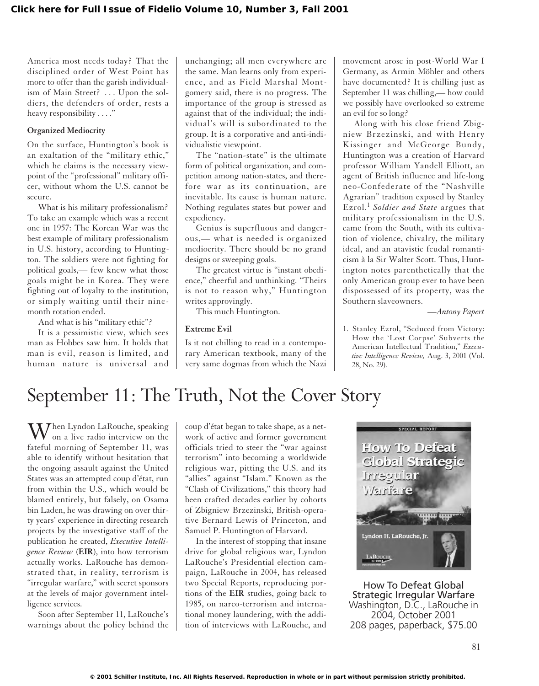America most needs today? That the disciplined order of West Point has more to offer than the garish individualism of Main Street? . . . Upon the soldiers, the defenders of order, rests a heavy responsibility . . . ."

#### **Organized Mediocrity**

On the surface, Huntington's book is an exaltation of the "military ethic," which he claims is the necessary viewpoint of the "professional" military officer, without whom the U.S. cannot be secure.

What is his military professionalism? To take an example which was a recent one in 1957: The Korean War was the best example of military professionalism in U.S. history, according to Huntington. The soldiers were not fighting for political goals,— few knew what those goals might be in Korea. They were fighting out of loyalty to the institution, or simply waiting until their ninemonth rotation ended.

And what is his "military ethic"?

It is a pessimistic view, which sees man as Hobbes saw him. It holds that man is evil, reason is limited, and human nature is universal and unchanging; all men everywhere are the same. Man learns only from experience, and as Field Marshal Montgomery said, there is no progress. The importance of the group is stressed as against that of the individual; the individual's will is subordinated to the group. It is a corporative and anti-individualistic viewpoint.

The "nation-state" is the ultimate form of political organization, and competition among nation-states, and therefore war as its continuation, are inevitable. Its cause is human nature. Nothing regulates states but power and expediency.

Genius is superfluous and dangerous,— what is needed is organized mediocrity. There should be no grand designs or sweeping goals.

The greatest virtue is "instant obedience," cheerful and unthinking. "Theirs is not to reason why," Huntington writes approvingly.

This much Huntington.

### **Extreme Evil**

Is it not chilling to read in a contemporary American textbook, many of the very same dogmas from which the Nazi

movement arose in post-World War I Germany, as Armin Möhler and others have documented? It is chilling just as September 11 was chilling,— how could we possibly have overlooked so extreme an evil for so long?

Along with his close friend Zbigniew Brzezinski, and with Henry Kissinger and McGeorge Bundy, Huntington was a creation of Harvard professor William Yandell Elliott, an agent of British influence and life-long neo-Confederate of the "Nashville Agrarian" tradition exposed by Stanley Ezrol.<sup>1</sup> *Soldier and State* argues that military professionalism in the U.S. came from the South, with its cultivation of violence, chivalry, the military ideal, and an atavistic feudal romanticism à la Sir Walter Scott. Thus, Huntington notes parenthetically that the only American group ever to have been dispossessed of its property, was the Southern slaveowners.

*—Antony Papert*

1. Stanley Ezrol, "Seduced from Victory: How the 'Lost Corpse' Subverts the American Intellectual Tradition," *Executive Intelligence Review,* Aug. 3, 2001 (Vol. 28, No. 29).

# September 11: The Truth, Not the Cover Story

 $\mathbf{M}$ <sup>hen Lyndon LaRouche, speaking</sup> on a live radio interview on the fateful morning of September 11, was able to identify without hesitation that the ongoing assault against the United States was an attempted coup d'état, run from within the U.S., which would be blamed entirely, but falsely, on Osama bin Laden, he was drawing on over thirty years' experience in directing research projects by the investigative staff of the publication he created, *Executive Intelligence Review* (**EIR**), into how terrorism actually works. LaRouche has demonstrated that, in reality, terrorism is "irregular warfare," with secret sponsors at the levels of major government intelligence services.

Soon after September 11, LaRouche's warnings about the policy behind the coup d'état began to take shape, as a network of active and former government officials tried to steer the "war against terrorism" into becoming a worldwide religious war, pitting the U.S. and its "allies" against "Islam." Known as the "Clash of Civilizations," this theory had been crafted decades earlier by cohorts of Zbigniew Brzezinski, British-operative Bernard Lewis of Princeton, and Samuel P. Huntington of Harvard.

In the interest of stopping that insane drive for global religious war, Lyndon LaRouche's Presidential election campaign, LaRouche in 2004, has released two Special Reports, reproducing portions of the **EIR** studies, going back to 1985, on narco-terrorism and international money laundering, with the addition of interviews with LaRouche, and



How To Defeat Global Strategic Irregular Warfare Washington, D.C., LaRouche in 2004, October 2001 208 pages, paperback, \$75.00